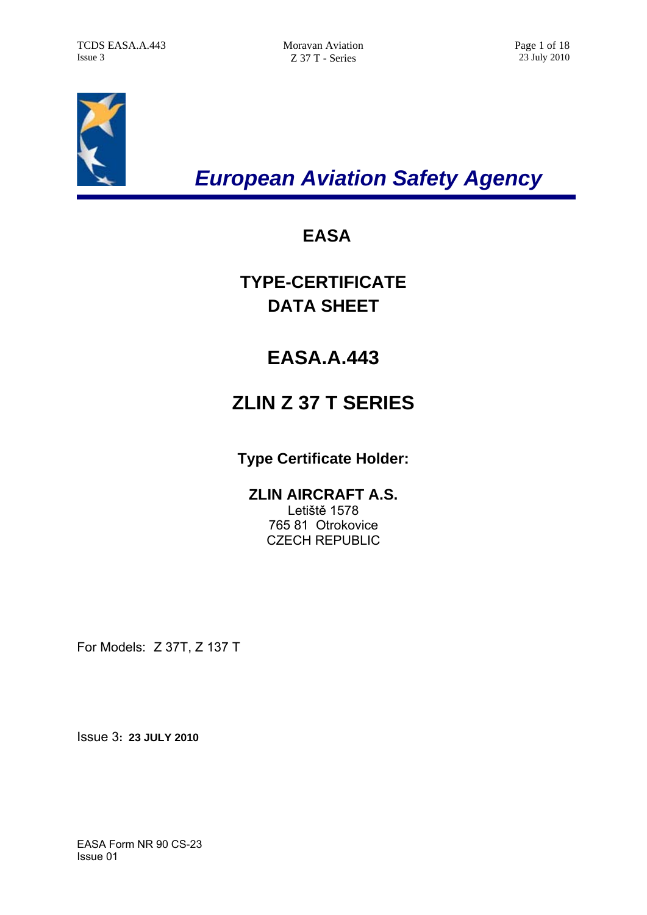

*European Aviation Safety Agency* 

## **EASA**

**TYPE-CERTIFICATE DATA SHEET** 

# **EASA.A.443**

# **ZLIN Z 37 T SERIES**

## **Type Certificate Holder:**

## **ZLIN AIRCRAFT A.S.**

Letiště 1578 765 81 Otrokovice CZECH REPUBLIC

For Models: Z 37T, Z 137 T

Issue 3**: 23 JULY 2010**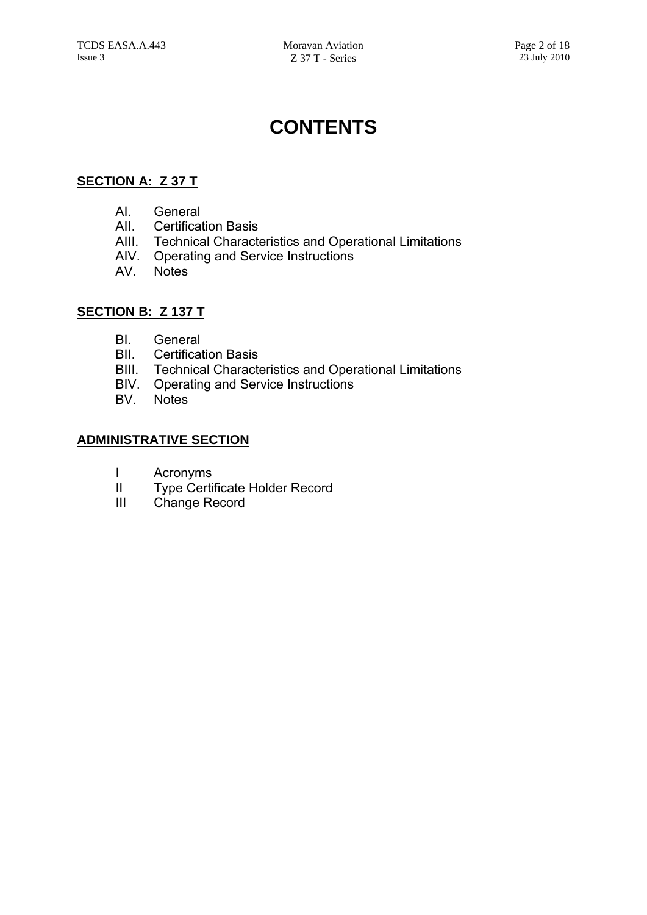# **CONTENTS**

## **SECTION A: Z 37 T**

- AI. General
- AII. Certification Basis
- AIII. Technical Characteristics and Operational Limitations
- AIV. Operating and Service Instructions
- AV. Notes

### **SECTION B: Z 137 T**

- BI. General
- BII. Certification Basis
- BIII. Technical Characteristics and Operational Limitations
- BIV. Operating and Service Instructions
- BV. Notes

### **ADMINISTRATIVE SECTION**

- I Acronyms
- II Type Certificate Holder Record
- III Change Record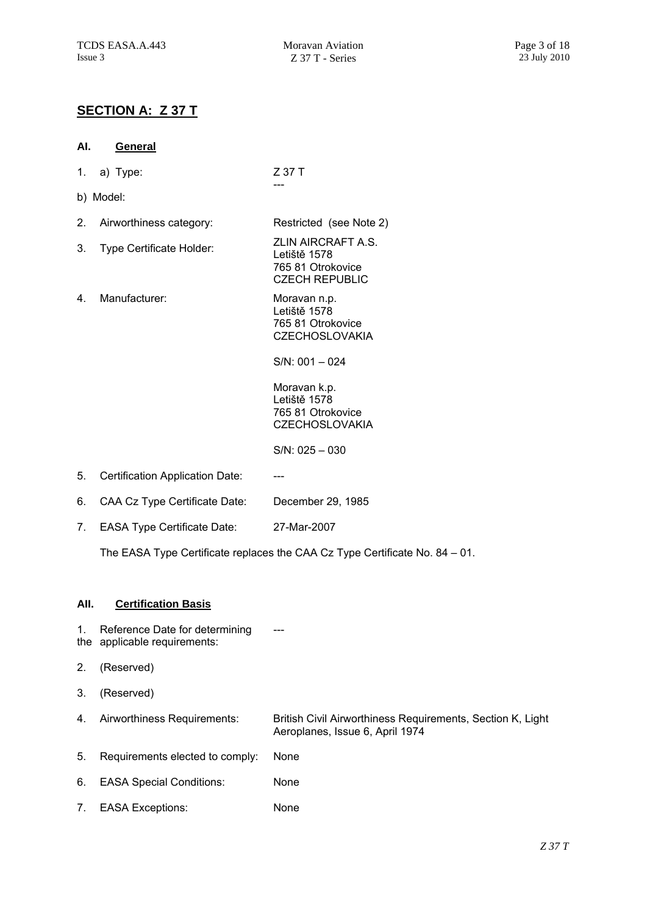**AI. General**

## **SECTION A: Z 37 T**

| 1.   | a) Type:                                                       | Z 37 T                                                                                        |
|------|----------------------------------------------------------------|-----------------------------------------------------------------------------------------------|
|      | b) Model:                                                      |                                                                                               |
| 2.   | Airworthiness category:                                        | Restricted (see Note 2)                                                                       |
| 3.   | Type Certificate Holder:                                       | ZLIN AIRCRAFT A.S.<br>Letiště 1578<br>765 81 Otrokovice<br><b>CZECH REPUBLIC</b>              |
| 4.   | Manufacturer:                                                  | Moravan n.p.<br>Letiště 1578<br>765 81 Otrokovice<br><b>CZECHOSLOVAKIA</b>                    |
|      |                                                                | $SNN: 001 - 024$                                                                              |
|      |                                                                | Moravan k.p.<br>Letiště 1578<br>765 81 Otrokovice<br><b>CZECHOSLOVAKIA</b>                    |
|      |                                                                | $S/N$ : 025 - 030                                                                             |
| 5.   | Certification Application Date:                                |                                                                                               |
| 6.   | CAA Cz Type Certificate Date:                                  | December 29, 1985                                                                             |
| 7.   | <b>EASA Type Certificate Date:</b>                             | 27-Mar-2007                                                                                   |
|      |                                                                | The EASA Type Certificate replaces the CAA Cz Type Certificate No. 84 – 01.                   |
|      |                                                                |                                                                                               |
| All. | <b>Certification Basis</b>                                     |                                                                                               |
| 1.   | Reference Date for determining<br>the applicable requirements: |                                                                                               |
| 2.   | (Reserved)                                                     |                                                                                               |
| 3.   | (Reserved)                                                     |                                                                                               |
| 4.   | Airworthiness Requirements:                                    | British Civil Airworthiness Requirements, Section K, Light<br>Aeroplanes, Issue 6, April 1974 |
| 5.   | Requirements elected to comply:                                | None                                                                                          |
| 6.   | <b>EASA Special Conditions:</b>                                | None                                                                                          |
| 7.   | <b>EASA Exceptions:</b>                                        | None                                                                                          |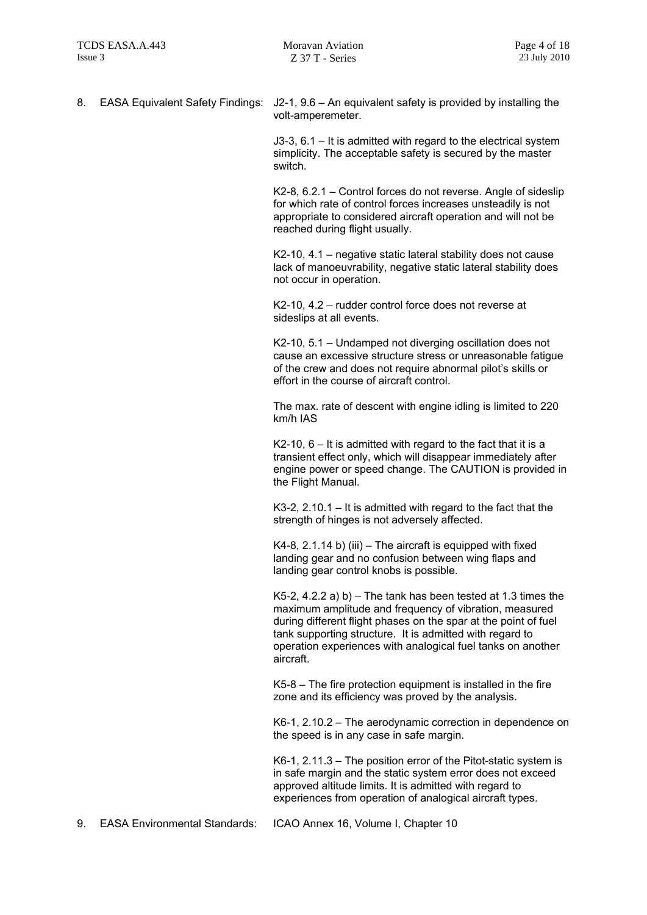8. EASA Equivalent Safety Findings: J2-1, 9.6 – An equivalent safety is provided by installing the volt-amperemeter.

> J3-3, 6.1 – It is admitted with regard to the electrical system simplicity. The acceptable safety is secured by the master switch.

K2-8, 6.2.1 – Control forces do not reverse. Angle of sideslip for which rate of control forces increases unsteadily is not appropriate to considered aircraft operation and will not be reached during flight usually.

K2-10, 4.1 – negative static lateral stability does not cause lack of manoeuvrability, negative static lateral stability does not occur in operation.

K2-10, 4.2 – rudder control force does not reverse at sideslips at all events.

K2-10, 5.1 – Undamped not diverging oscillation does not cause an excessive structure stress or unreasonable fatigue of the crew and does not require abnormal pilot's skills or effort in the course of aircraft control.

The max. rate of descent with engine idling is limited to 220 km/h IAS

 $K2-10$ ,  $6 - It$  is admitted with regard to the fact that it is a transient effect only, which will disappear immediately after engine power or speed change. The CAUTION is provided in the Flight Manual.

K3-2, 2.10.1 – It is admitted with regard to the fact that the strength of hinges is not adversely affected.

 $K4-8$ , 2.1.14 b) (iii) – The aircraft is equipped with fixed landing gear and no confusion between wing flaps and landing gear control knobs is possible.

K5-2, 4.2.2 a) b) – The tank has been tested at 1.3 times the maximum amplitude and frequency of vibration, measured during different flight phases on the spar at the point of fuel tank supporting structure. It is admitted with regard to operation experiences with analogical fuel tanks on another aircraft.

K5-8 – The fire protection equipment is installed in the fire zone and its efficiency was proved by the analysis.

K6-1, 2.10.2 – The aerodynamic correction in dependence on the speed is in any case in safe margin.

K6-1, 2.11.3 – The position error of the Pitot-static system is in safe margin and the static system error does not exceed approved altitude limits. It is admitted with regard to experiences from operation of analogical aircraft types.

9. EASA Environmental Standards: ICAO Annex 16, Volume I, Chapter 10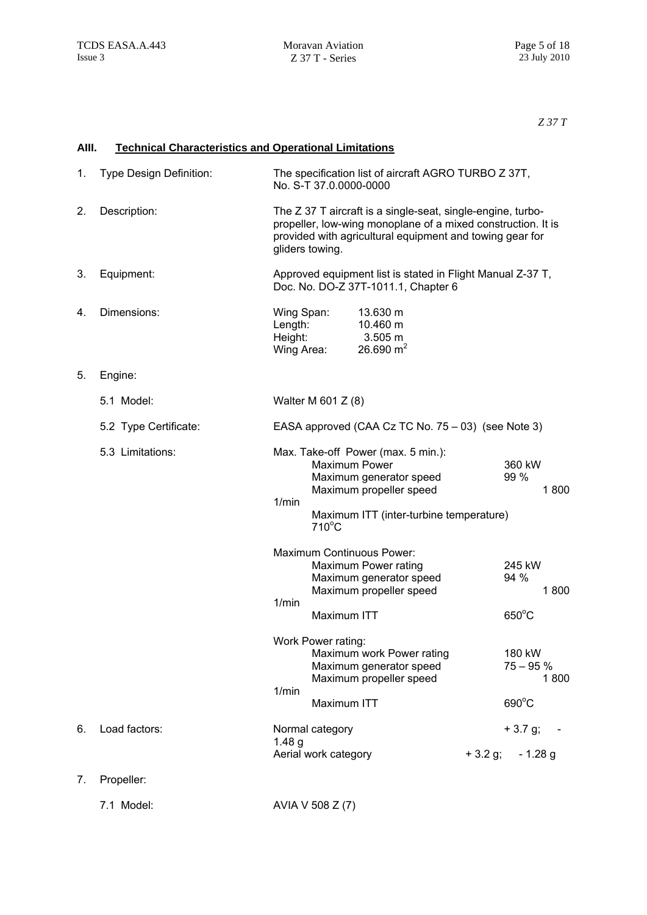*Z 37 T* 

| AIII. | <b>Technical Characteristics and Operational Limitations</b> |                                                                                                                                                                                                                   |  |  |  |
|-------|--------------------------------------------------------------|-------------------------------------------------------------------------------------------------------------------------------------------------------------------------------------------------------------------|--|--|--|
| 1.    | Type Design Definition:                                      | The specification list of aircraft AGRO TURBO Z 37T,<br>No. S-T 37.0.0000-0000                                                                                                                                    |  |  |  |
| 2.    | Description:                                                 | The Z 37 T aircraft is a single-seat, single-engine, turbo-<br>propeller, low-wing monoplane of a mixed construction. It is<br>provided with agricultural equipment and towing gear for<br>gliders towing.        |  |  |  |
| 3.    | Equipment:                                                   | Approved equipment list is stated in Flight Manual Z-37 T,<br>Doc. No. DO-Z 37T-1011.1, Chapter 6                                                                                                                 |  |  |  |
| 4.    | Dimensions:                                                  | Wing Span:<br>13.630 m<br>Length:<br>10.460 m<br>Height:<br>3.505 m<br>26.690 $m2$<br>Wing Area:                                                                                                                  |  |  |  |
| 5.    | Engine:                                                      |                                                                                                                                                                                                                   |  |  |  |
|       | 5.1 Model:                                                   | Walter M 601 $Z(8)$                                                                                                                                                                                               |  |  |  |
|       | 5.2 Type Certificate:                                        | EASA approved (CAA Cz TC No. 75 – 03) (see Note 3)                                                                                                                                                                |  |  |  |
|       | 5.3 Limitations:                                             | Max. Take-off Power (max. 5 min.):<br><b>Maximum Power</b><br>360 kW<br>99 %<br>Maximum generator speed<br>Maximum propeller speed<br>1800<br>1/min<br>Maximum ITT (inter-turbine temperature)<br>$710^{\circ}$ C |  |  |  |
|       |                                                              | Maximum Continuous Power:<br>Maximum Power rating<br>245 kW<br>94 %<br>Maximum generator speed<br>Maximum propeller speed<br>1800<br>1/min<br>$650^{\circ}$ C<br>Maximum ITT                                      |  |  |  |
|       |                                                              | Work Power rating:<br>Maximum work Power rating<br>180 kW<br>Maximum generator speed<br>$75 - 95%$<br>Maximum propeller speed<br>1800                                                                             |  |  |  |
|       |                                                              | 1/min<br>690°C<br>Maximum ITT                                                                                                                                                                                     |  |  |  |
| 6.    | Load factors:                                                | $+3.7 g;$<br>Normal category<br>1.48 <sub>g</sub><br>Aerial work category<br>$+3.2$ g;<br>$-1.28$ g                                                                                                               |  |  |  |
| 7.    | Propeller:                                                   |                                                                                                                                                                                                                   |  |  |  |
|       | 7.1 Model:                                                   | AVIA V 508 Z (7)                                                                                                                                                                                                  |  |  |  |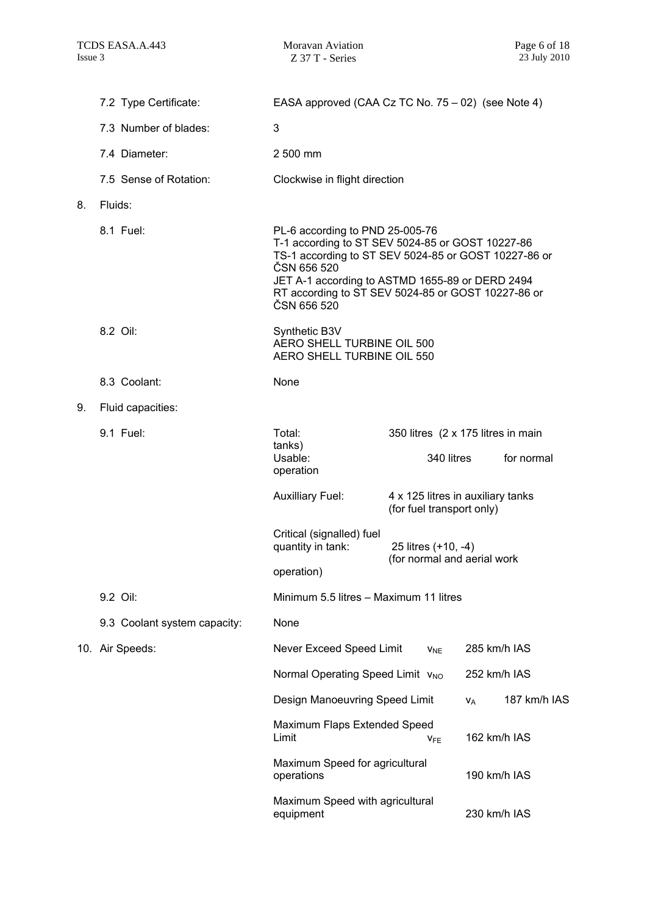|    | 7.2 Type Certificate:        | EASA approved (CAA Cz TC No. 75 – 02) (see Note 4)                                                                                                                                                                                                                                 |  |                                                                |              |              |  |
|----|------------------------------|------------------------------------------------------------------------------------------------------------------------------------------------------------------------------------------------------------------------------------------------------------------------------------|--|----------------------------------------------------------------|--------------|--------------|--|
|    | 7.3 Number of blades:        | 3                                                                                                                                                                                                                                                                                  |  |                                                                |              |              |  |
|    | 7.4 Diameter:                | 2 500 mm                                                                                                                                                                                                                                                                           |  |                                                                |              |              |  |
|    | 7.5 Sense of Rotation:       | Clockwise in flight direction                                                                                                                                                                                                                                                      |  |                                                                |              |              |  |
| 8. | Fluids:                      |                                                                                                                                                                                                                                                                                    |  |                                                                |              |              |  |
|    | 8.1 Fuel:                    | PL-6 according to PND 25-005-76<br>T-1 according to ST SEV 5024-85 or GOST 10227-86<br>TS-1 according to ST SEV 5024-85 or GOST 10227-86 or<br>ČSN 656 520<br>JET A-1 according to ASTMD 1655-89 or DERD 2494<br>RT according to ST SEV 5024-85 or GOST 10227-86 or<br>ČSN 656 520 |  |                                                                |              |              |  |
|    | 8.2 Oil:                     | Synthetic B3V<br>AERO SHELL TURBINE OIL 500<br>AERO SHELL TURBINE OIL 550                                                                                                                                                                                                          |  |                                                                |              |              |  |
|    | 8.3 Coolant:                 | None                                                                                                                                                                                                                                                                               |  |                                                                |              |              |  |
| 9. | Fluid capacities:            |                                                                                                                                                                                                                                                                                    |  |                                                                |              |              |  |
|    | 9.1 Fuel:                    | Total:<br>tanks)                                                                                                                                                                                                                                                                   |  | 350 litres (2 x 175 litres in main                             |              |              |  |
|    |                              | Usable:<br>operation                                                                                                                                                                                                                                                               |  | 340 litres                                                     |              | for normal   |  |
|    |                              | <b>Auxilliary Fuel:</b>                                                                                                                                                                                                                                                            |  | 4 x 125 litres in auxiliary tanks<br>(for fuel transport only) |              |              |  |
|    |                              | Critical (signalled) fuel<br>quantity in tank:                                                                                                                                                                                                                                     |  | 25 litres (+10, -4)<br>(for normal and aerial work             |              |              |  |
|    |                              | operation)                                                                                                                                                                                                                                                                         |  |                                                                |              |              |  |
|    | 9.2 Oil:                     | Minimum 5.5 litres - Maximum 11 litres                                                                                                                                                                                                                                             |  |                                                                |              |              |  |
|    | 9.3 Coolant system capacity: | None                                                                                                                                                                                                                                                                               |  |                                                                |              |              |  |
|    | 10. Air Speeds:              | Never Exceed Speed Limit                                                                                                                                                                                                                                                           |  | $V_{NE}$                                                       | 285 km/h IAS |              |  |
|    |                              | Normal Operating Speed Limit V <sub>NO</sub>                                                                                                                                                                                                                                       |  |                                                                | 252 km/h IAS |              |  |
|    |                              | Design Manoeuvring Speed Limit                                                                                                                                                                                                                                                     |  |                                                                | $V_A$        | 187 km/h IAS |  |
|    |                              | Maximum Flaps Extended Speed<br>Limit                                                                                                                                                                                                                                              |  | <b>V<sub>FE</sub></b>                                          | 162 km/h IAS |              |  |
|    |                              | Maximum Speed for agricultural<br>operations                                                                                                                                                                                                                                       |  |                                                                | 190 km/h IAS |              |  |
|    |                              | Maximum Speed with agricultural<br>equipment                                                                                                                                                                                                                                       |  |                                                                | 230 km/h IAS |              |  |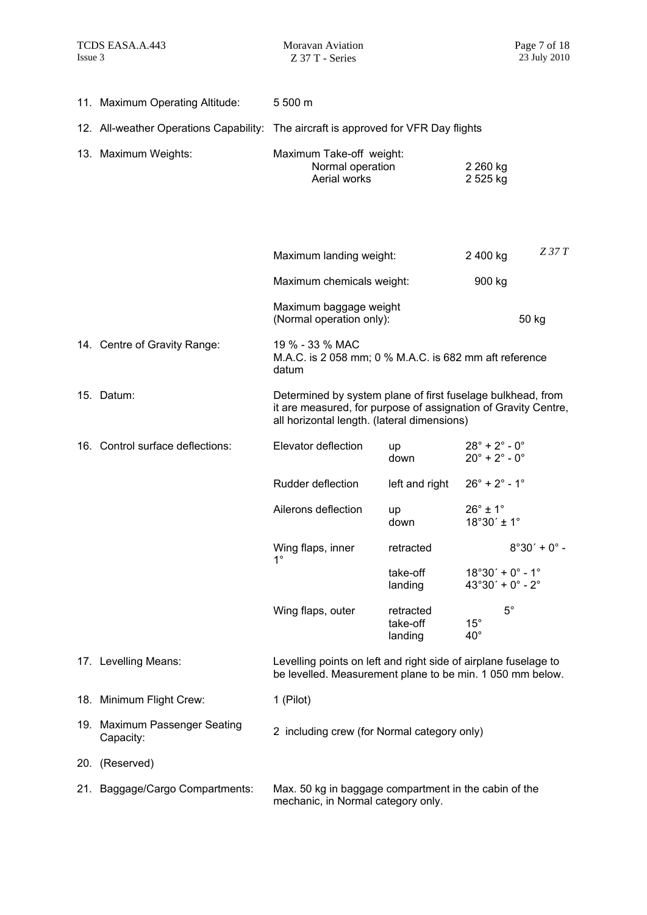| 11. Maximum Operating Altitude:            | 5 500 m                                                                                                                                                                      |                                              |                                                                                      |                |
|--------------------------------------------|------------------------------------------------------------------------------------------------------------------------------------------------------------------------------|----------------------------------------------|--------------------------------------------------------------------------------------|----------------|
|                                            | 12. All-weather Operations Capability: The aircraft is approved for VFR Day flights                                                                                          |                                              |                                                                                      |                |
| 13. Maximum Weights:                       | Aerial works                                                                                                                                                                 | Maximum Take-off weight:<br>Normal operation |                                                                                      |                |
|                                            | Maximum landing weight:                                                                                                                                                      |                                              | 2 400 kg                                                                             | $Z$ 37 $T$     |
|                                            | Maximum chemicals weight:                                                                                                                                                    |                                              | 900 kg                                                                               |                |
|                                            | Maximum baggage weight<br>(Normal operation only):                                                                                                                           |                                              |                                                                                      | 50 kg          |
| 14. Centre of Gravity Range:               | 19 % - 33 % MAC<br>M.A.C. is 2 058 mm; 0 % M.A.C. is 682 mm aft reference<br>datum                                                                                           |                                              |                                                                                      |                |
| 15. Datum:                                 | Determined by system plane of first fuselage bulkhead, from<br>it are measured, for purpose of assignation of Gravity Centre,<br>all horizontal length. (lateral dimensions) |                                              |                                                                                      |                |
| 16. Control surface deflections:           | Elevator deflection                                                                                                                                                          | up<br>down                                   | $28^{\circ}$ + $2^{\circ}$ - $0^{\circ}$<br>$20^{\circ}$ + $2^{\circ}$ - $0^{\circ}$ |                |
|                                            | Rudder deflection                                                                                                                                                            | left and right                               | $26^{\circ}$ + $2^{\circ}$ - 1°                                                      |                |
|                                            | Ailerons deflection                                                                                                                                                          | up<br>down                                   | $26^\circ \pm 1^\circ$<br>$18°30' \pm 1°$                                            |                |
|                                            | Wing flaps, inner<br>$1^{\circ}$                                                                                                                                             | retracted                                    |                                                                                      | $8°30' + 0° -$ |
|                                            |                                                                                                                                                                              | take-off<br>landing                          | $18°30' + 0° - 1°$<br>$43^{\circ}30' + 0^{\circ} - 2^{\circ}$                        |                |
|                                            | Wing flaps, outer                                                                                                                                                            | retracted<br>take-off<br>landing             | $5^{\circ}$<br>$15^{\circ}$<br>$40^{\circ}$                                          |                |
| 17. Levelling Means:                       | Levelling points on left and right side of airplane fuselage to<br>be levelled. Measurement plane to be min. 1 050 mm below.                                                 |                                              |                                                                                      |                |
| 18. Minimum Flight Crew:                   | 1 (Pilot)                                                                                                                                                                    |                                              |                                                                                      |                |
| 19. Maximum Passenger Seating<br>Capacity: | 2 including crew (for Normal category only)                                                                                                                                  |                                              |                                                                                      |                |
| 20. (Reserved)                             |                                                                                                                                                                              |                                              |                                                                                      |                |
| 21. Baggage/Cargo Compartments:            | Max. 50 kg in baggage compartment in the cabin of the<br>mechanic, in Normal category only.                                                                                  |                                              |                                                                                      |                |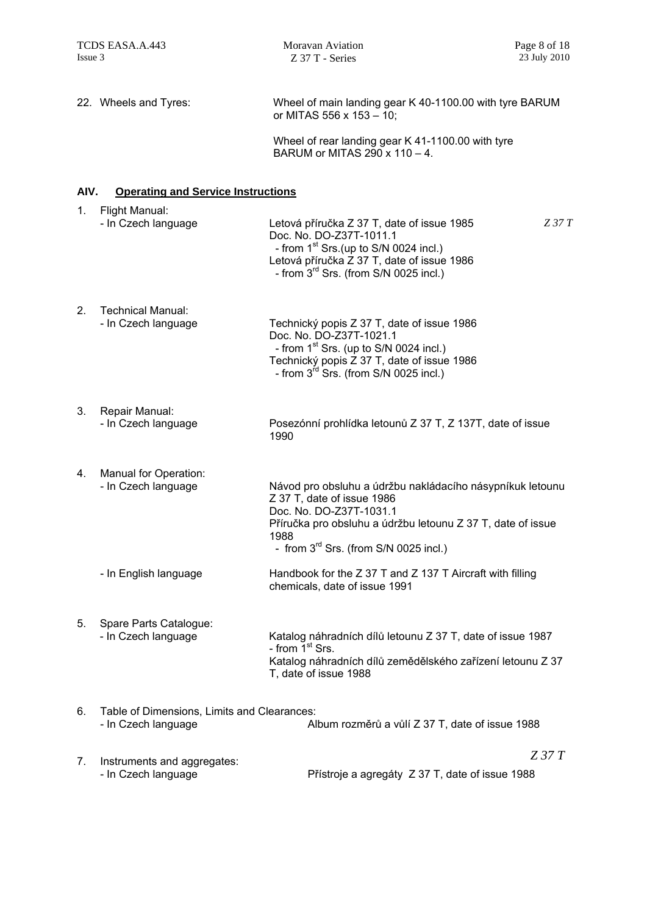| 22. Wheels and Tyres: | Wheel of main landing gear K 40-1100.00 with tyre BARUM<br>or MITAS 556 x 153 $-$ 10; |
|-----------------------|---------------------------------------------------------------------------------------|
|                       |                                                                                       |

Wheel of rear landing gear K 41-1100.00 with tyre BARUM or MITAS 290 x 110 – 4.

#### **AIV. Operating and Service Instructions**

| 1. | Flight Manual:<br>- In Czech language                              | Letová příručka Z 37 T, date of issue 1985<br>$Z$ 37 $T$<br>Doc. No. DO-Z37T-1011.1<br>- from 1 <sup>st</sup> Srs.(up to S/N 0024 incl.)<br>Letová příručka Z 37 T, date of issue 1986<br>- from 3 <sup>rd</sup> Srs. (from S/N 0025 incl.) |
|----|--------------------------------------------------------------------|---------------------------------------------------------------------------------------------------------------------------------------------------------------------------------------------------------------------------------------------|
| 2. | Technical Manual:<br>- In Czech language                           | Technický popis Z 37 T, date of issue 1986<br>Doc. No. DO-Z37T-1021.1<br>- from $1st$ Srs. (up to S/N 0024 incl.)<br>Technický popis Z 37 T, date of issue 1986<br>- from $3^{rd}$ Srs. (from S/N 0025 incl.)                               |
| 3. | Repair Manual:<br>- In Czech language                              | Posezónní prohlídka letounů Z 37 T, Z 137T, date of issue<br>1990                                                                                                                                                                           |
| 4. | Manual for Operation:<br>- In Czech language                       | Návod pro obsluhu a údržbu nakládacího násypníkuk letounu<br>Z 37 T, date of issue 1986<br>Doc. No. DO-Z37T-1031.1<br>Příručka pro obsluhu a údržbu letounu Z 37 T, date of issue<br>1988<br>- from $3^{rd}$ Srs. (from S/N 0025 incl.)     |
|    | - In English language                                              | Handbook for the Z 37 T and Z 137 T Aircraft with filling<br>chemicals, date of issue 1991                                                                                                                                                  |
| 5. | Spare Parts Catalogue:<br>- In Czech language                      | Katalog náhradních dílů letounu Z 37 T, date of issue 1987<br>- from $\check{1}$ <sup>st</sup> Srs.<br>Katalog náhradních dílů zemědělského zařízení letounu Z 37<br>T, date of issue 1988                                                  |
| 6. | Table of Dimensions, Limits and Clearances:<br>- In Czech language | Album rozměrů a vůlí Z 37 T, date of issue 1988                                                                                                                                                                                             |
| 7. | Instruments and aggregates:                                        | $Z$ 37 $T$                                                                                                                                                                                                                                  |

- In Czech language Přístroje a agregáty Z 37 T, date of issue 1988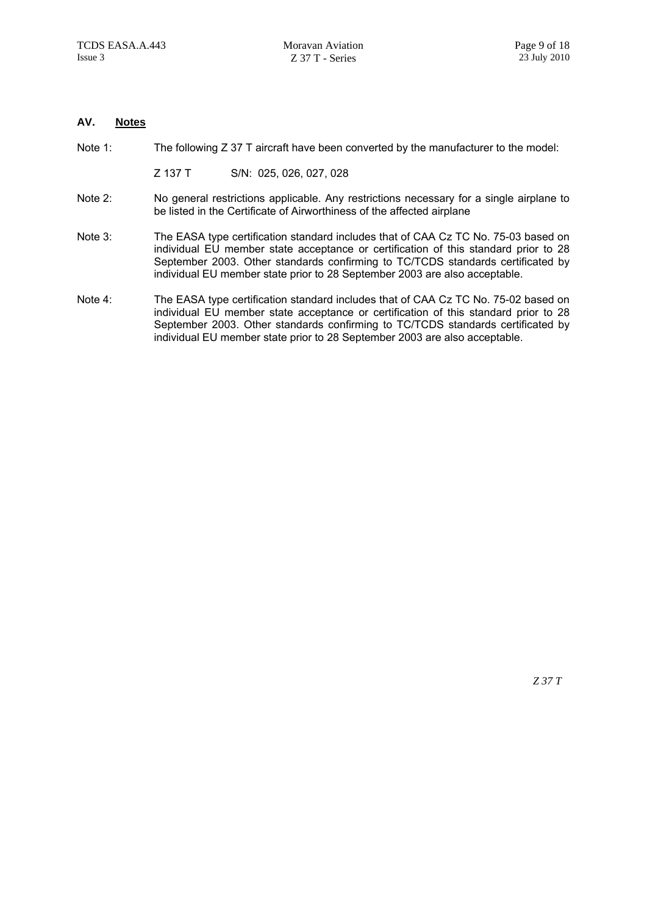#### **AV. Notes**

- Note 1: The following Z 37 T aircraft have been converted by the manufacturer to the model:
	- Z 137 T S/N: 025, 026, 027, 028
- Note 2: No general restrictions applicable. Any restrictions necessary for a single airplane to be listed in the Certificate of Airworthiness of the affected airplane
- Note 3: The EASA type certification standard includes that of CAA Cz TC No. 75-03 based on individual EU member state acceptance or certification of this standard prior to 28 September 2003. Other standards confirming to TC/TCDS standards certificated by individual EU member state prior to 28 September 2003 are also acceptable.
- Note 4: The EASA type certification standard includes that of CAA Cz TC No. 75-02 based on individual EU member state acceptance or certification of this standard prior to 28 September 2003. Other standards confirming to TC/TCDS standards certificated by individual EU member state prior to 28 September 2003 are also acceptable.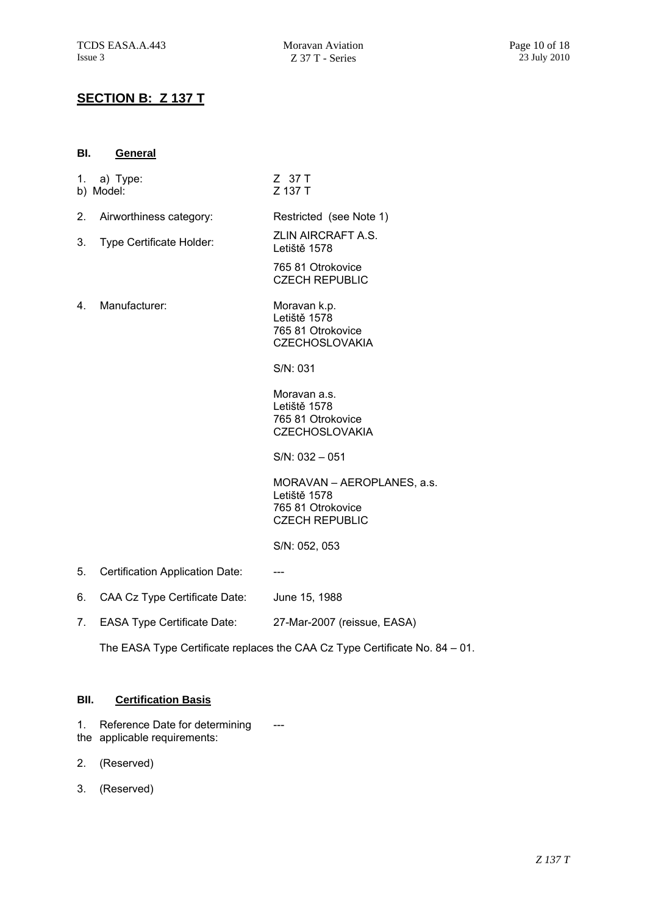Z 37 T

### **SECTION B: Z 137 T**

| BI. | General  |  |
|-----|----------|--|
| 1.  | a) Type: |  |

|    | b) Model:                       | Z 137 T                                                                                  |
|----|---------------------------------|------------------------------------------------------------------------------------------|
| 2. | Airworthiness category:         | Restricted (see Note 1)                                                                  |
| 3. | Type Certificate Holder:        | ZLIN AIRCRAFT A.S.<br>Letiště 1578                                                       |
|    |                                 | 765 81 Otrokovice<br><b>CZECH REPUBLIC</b>                                               |
| 4. | Manufacturer:                   | Moravan k.p.<br>Letiště 1578<br>765 81 Otrokovice<br><b>CZECHOSLOVAKIA</b>               |
|    |                                 | S/N: 031                                                                                 |
|    |                                 | Moravan a.s.<br>Letiště 1578<br>765 81 Otrokovice<br><b>CZECHOSLOVAKIA</b>               |
|    |                                 | $S/N: 032 - 051$                                                                         |
|    |                                 | MORAVAN - AEROPLANES, a.s.<br>Letiště 1578<br>765 81 Otrokovice<br><b>CZECH REPUBLIC</b> |
|    |                                 | S/N: 052, 053                                                                            |
| 5. | Certification Application Date: | ---                                                                                      |

- 6. CAA Cz Type Certificate Date: June 15, 1988
- 7. EASA Type Certificate Date: 27-Mar-2007 (reissue, EASA)

The EASA Type Certificate replaces the CAA Cz Type Certificate No. 84 – 01.

#### **BII. Certification Basis**

- 1. Reference Date for determining the applicable requirements: ---
- 2. (Reserved)
- 3. (Reserved)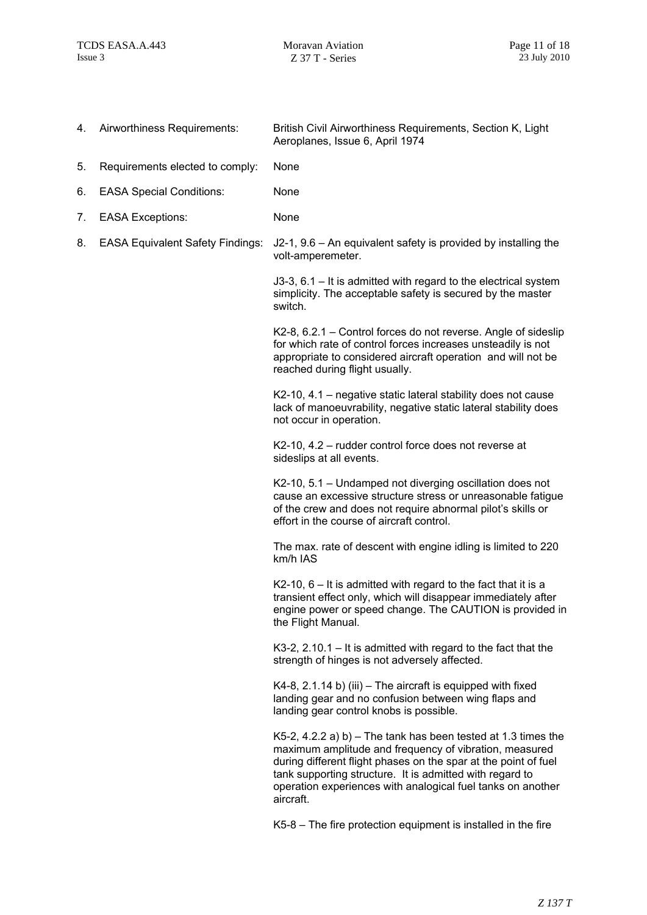| 4. | Airworthiness Requirements:             | British Civil Airworthiness Requirements, Section K, Light<br>Aeroplanes, Issue 6, April 1974                                                                                                                                                                                                                                      |  |
|----|-----------------------------------------|------------------------------------------------------------------------------------------------------------------------------------------------------------------------------------------------------------------------------------------------------------------------------------------------------------------------------------|--|
| 5. | Requirements elected to comply:         | None                                                                                                                                                                                                                                                                                                                               |  |
| 6. | <b>EASA Special Conditions:</b>         | None                                                                                                                                                                                                                                                                                                                               |  |
| 7. | <b>EASA Exceptions:</b>                 | None                                                                                                                                                                                                                                                                                                                               |  |
| 8. | <b>EASA Equivalent Safety Findings:</b> | $J2-1$ , 9.6 – An equivalent safety is provided by installing the<br>volt-amperemeter.                                                                                                                                                                                                                                             |  |
|    |                                         | J3-3, 6.1 – It is admitted with regard to the electrical system<br>simplicity. The acceptable safety is secured by the master<br>switch.                                                                                                                                                                                           |  |
|    |                                         | K2-8, 6.2.1 – Control forces do not reverse. Angle of sideslip<br>for which rate of control forces increases unsteadily is not<br>appropriate to considered aircraft operation and will not be<br>reached during flight usually.                                                                                                   |  |
|    |                                         | K2-10, 4.1 – negative static lateral stability does not cause<br>lack of manoeuvrability, negative static lateral stability does<br>not occur in operation.                                                                                                                                                                        |  |
|    |                                         | K2-10, 4.2 - rudder control force does not reverse at<br>sideslips at all events.                                                                                                                                                                                                                                                  |  |
|    |                                         | K2-10, 5.1 - Undamped not diverging oscillation does not<br>cause an excessive structure stress or unreasonable fatigue<br>of the crew and does not require abnormal pilot's skills or<br>effort in the course of aircraft control.                                                                                                |  |
|    |                                         | The max. rate of descent with engine idling is limited to 220<br>km/h IAS                                                                                                                                                                                                                                                          |  |
|    |                                         | $K2-10$ , 6 – It is admitted with regard to the fact that it is a<br>transient effect only, which will disappear immediately after<br>engine power or speed change. The CAUTION is provided in<br>the Flight Manual.                                                                                                               |  |
|    |                                         | K3-2, 2.10.1 $-$ It is admitted with regard to the fact that the<br>strength of hinges is not adversely affected.                                                                                                                                                                                                                  |  |
|    |                                         | $K4-8$ , 2.1.14 b) (iii) – The aircraft is equipped with fixed<br>landing gear and no confusion between wing flaps and<br>landing gear control knobs is possible.                                                                                                                                                                  |  |
|    |                                         | K5-2, 4.2.2 a) b) – The tank has been tested at 1.3 times the<br>maximum amplitude and frequency of vibration, measured<br>during different flight phases on the spar at the point of fuel<br>tank supporting structure. It is admitted with regard to<br>operation experiences with analogical fuel tanks on another<br>aircraft. |  |
|    |                                         | K5-8 – The fire protection equipment is installed in the fire                                                                                                                                                                                                                                                                      |  |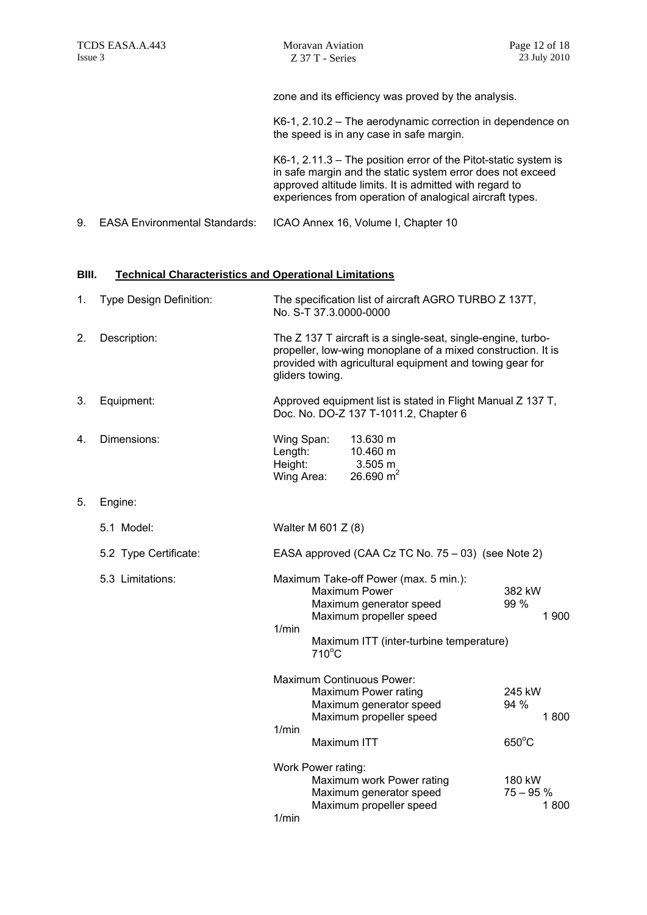zone and its efficiency was proved by the analysis.

K6-1, 2.10.2 – The aerodynamic correction in dependence on the speed is in any case in safe margin.

K6-1, 2.11.3 – The position error of the Pitot-static system is in safe margin and the static system error does not exceed approved altitude limits. It is admitted with regard to experiences from operation of analogical aircraft types.

9. EASA Environmental Standards: ICAO Annex 16, Volume I, Chapter 10

#### **BIII. Technical Characteristics and Operational Limitations**

| 1.                        | <b>Type Design Definition:</b> | The specification list of aircraft AGRO TURBO Z 137T,<br>No. S-T 37.3.0000-0000                                                                                                                             |                                                                            |                                                                                 |                              |
|---------------------------|--------------------------------|-------------------------------------------------------------------------------------------------------------------------------------------------------------------------------------------------------------|----------------------------------------------------------------------------|---------------------------------------------------------------------------------|------------------------------|
| 2.                        | Description:                   | The Z 137 T aircraft is a single-seat, single-engine, turbo-<br>propeller, low-wing monoplane of a mixed construction. It is<br>provided with agricultural equipment and towing gear for<br>gliders towing. |                                                                            |                                                                                 |                              |
| 3.                        | Equipment:                     | Approved equipment list is stated in Flight Manual Z 137 T,<br>Doc. No. DO-Z 137 T-1011.2, Chapter 6                                                                                                        |                                                                            |                                                                                 |                              |
| 4.                        | Dimensions:                    | Wing Span:<br>13.630 m<br>Length:<br>10.460 m<br>Height:<br>3.505 m<br>26.690 $m2$<br>Wing Area:                                                                                                            |                                                                            |                                                                                 |                              |
| 5.                        | Engine:                        |                                                                                                                                                                                                             |                                                                            |                                                                                 |                              |
|                           | 5.1 Model:                     | Walter M 601 Z (8)                                                                                                                                                                                          |                                                                            |                                                                                 |                              |
|                           | 5.2 Type Certificate:          | EASA approved (CAA Cz TC No. 75 – 03) (see Note 2)                                                                                                                                                          |                                                                            |                                                                                 |                              |
|                           | 5.3 Limitations:               | Maximum Take-off Power (max. 5 min.):<br>Maximum Power<br>Maximum generator speed<br>Maximum propeller speed<br>1/min<br>Maximum ITT (inter-turbine temperature)<br>$710^{\circ}$ C                         |                                                                            | 382 kW<br>99 %<br>1 900                                                         |                              |
| Maximum Continuous Power: |                                |                                                                                                                                                                                                             | Maximum Power rating<br>Maximum generator speed<br>Maximum propeller speed | 245 kW<br>94 %<br>1800                                                          |                              |
| 1/min                     |                                | Maximum ITT                                                                                                                                                                                                 |                                                                            | $650^{\circ}$ C                                                                 |                              |
|                           |                                | 1/min                                                                                                                                                                                                       | Work Power rating:                                                         | Maximum work Power rating<br>Maximum generator speed<br>Maximum propeller speed | 180 kW<br>$75 - 95%$<br>1800 |
|                           |                                |                                                                                                                                                                                                             |                                                                            |                                                                                 |                              |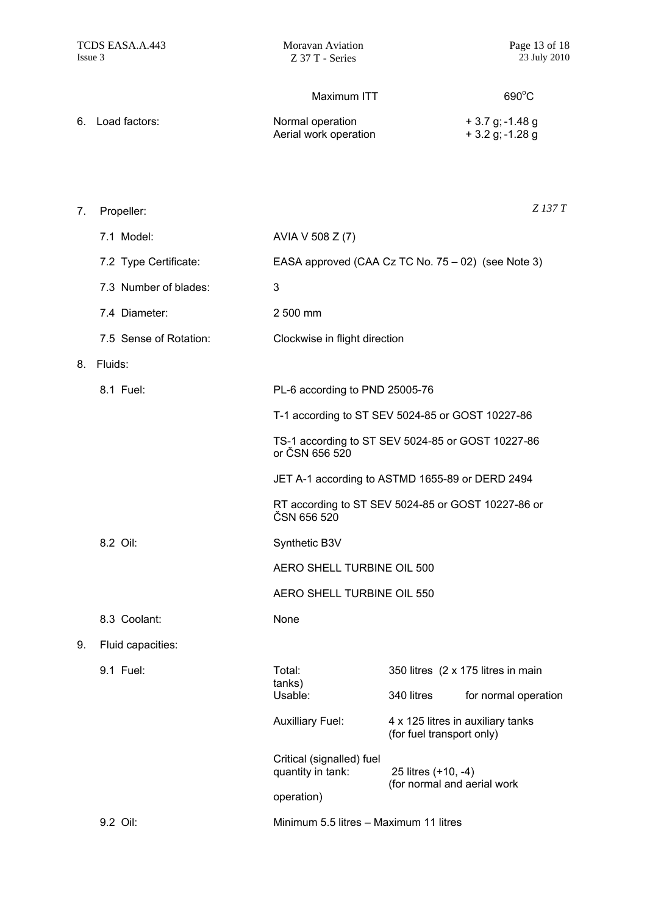690°C

#### Maximum ITT

| 6. Load factors: | Normal operation      | $+3.7$ g; -1.48 g |
|------------------|-----------------------|-------------------|
|                  | Aerial work operation | + 3.2 g; -1.28 g  |

7. Propeller: 7.1 Model: AVIA V 508 Z (7) 7.2 Type Certificate: EASA approved (CAA Cz TC No. 75 – 02) (see Note 3) 7.3 Number of blades: 3 7.4 Diameter: 2 500 mm 7.5 Sense of Rotation: Clockwise in flight direction 8. Fluids: 8.1 Fuel: PL-6 according to PND 25005-76 T-1 according to ST SEV 5024-85 or GOST 10227-86 TS-1 according to ST SEV 5024-85 or GOST 10227-86 or ČSN 656 520 JET A-1 according to ASTMD 1655-89 or DERD 2494 RT according to ST SEV 5024-85 or GOST 10227-86 or ČSN 656 520 8.2 Oil: Synthetic B3V AERO SHELL TURBINE OIL 500 AERO SHELL TURBINE OIL 550 8.3 Coolant: None 9. Fluid capacities: 9.1 Fuel: Total: Total: 350 litres (2 x 175 litres in main tanks) Usable: 340 litres for normal operation Auxilliary Fuel: 4 x 125 litres in auxiliary tanks (for fuel transport only) Critical (signalled) fuel quantity in tank: 25 litres (+10, -4) (for normal and aerial work operation) *Z 137 T* 

9.2 Oil: Minimum 5.5 litres – Maximum 11 litres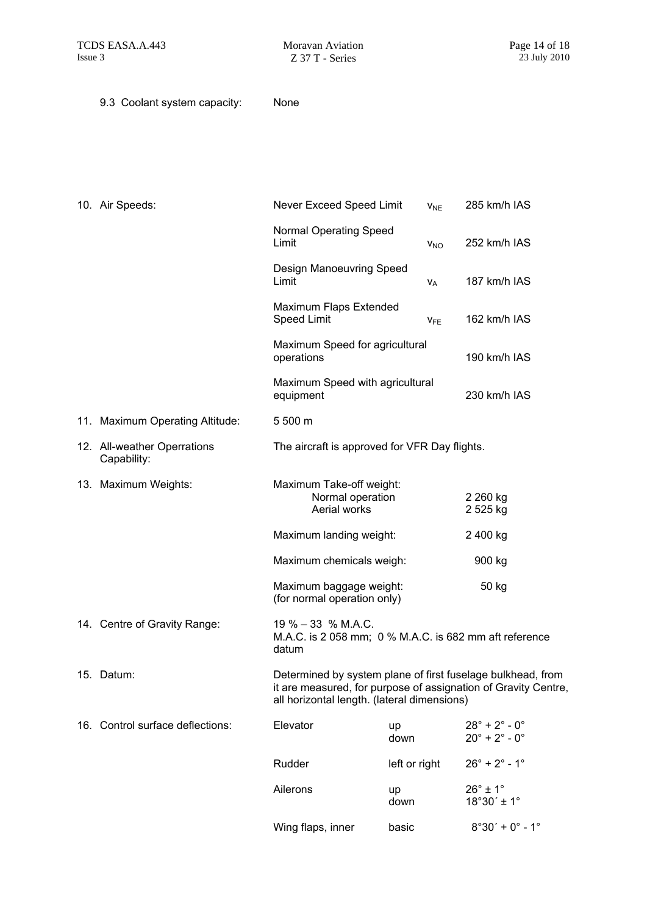9.3 Coolant system capacity: None

| 10. Air Speeds:                            | Never Exceed Speed Limit                                                                                                                                                     | <b>V<sub>NE</sub></b> |                        | 285 km/h IAS                                                                         |
|--------------------------------------------|------------------------------------------------------------------------------------------------------------------------------------------------------------------------------|-----------------------|------------------------|--------------------------------------------------------------------------------------|
|                                            | Normal Operating Speed<br>Limit                                                                                                                                              | <b>V<sub>NO</sub></b> |                        | 252 km/h IAS                                                                         |
|                                            | Design Manoeuvring Speed<br>Limit                                                                                                                                            | $V_A$                 |                        | 187 km/h IAS                                                                         |
|                                            | Maximum Flaps Extended<br><b>Speed Limit</b>                                                                                                                                 | <b>V<sub>FE</sub></b> |                        | 162 km/h IAS                                                                         |
|                                            | Maximum Speed for agricultural<br>operations                                                                                                                                 |                       |                        | 190 km/h IAS                                                                         |
|                                            | Maximum Speed with agricultural<br>equipment                                                                                                                                 |                       |                        | 230 km/h IAS                                                                         |
| 11. Maximum Operating Altitude:            | 5 500 m                                                                                                                                                                      |                       |                        |                                                                                      |
| 12. All-weather Operrations<br>Capability: | The aircraft is approved for VFR Day flights.                                                                                                                                |                       |                        |                                                                                      |
| 13. Maximum Weights:                       | Maximum Take-off weight:<br>Normal operation<br>Aerial works                                                                                                                 |                       | 2 260 kg<br>2 525 kg   |                                                                                      |
|                                            | Maximum landing weight:                                                                                                                                                      |                       | 2 400 kg               |                                                                                      |
|                                            | Maximum chemicals weigh:                                                                                                                                                     |                       | 900 kg                 |                                                                                      |
|                                            | Maximum baggage weight:<br>(for normal operation only)                                                                                                                       |                       |                        | 50 kg                                                                                |
| 14. Centre of Gravity Range:               | $19\% - 33\% M.A.C.$<br>M.A.C. is 2 058 mm; 0 % M.A.C. is 682 mm aft reference<br>datum                                                                                      |                       |                        |                                                                                      |
| 15. Datum:                                 | Determined by system plane of first fuselage bulkhead, from<br>it are measured, for purpose of assignation of Gravity Centre,<br>all horizontal length. (lateral dimensions) |                       |                        |                                                                                      |
| 16. Control surface deflections:           | Elevator                                                                                                                                                                     | up<br>down            |                        | $28^{\circ}$ + $2^{\circ}$ - $0^{\circ}$<br>$20^{\circ}$ + $2^{\circ}$ - $0^{\circ}$ |
|                                            | Rudder                                                                                                                                                                       | left or right         |                        | $26^{\circ}$ + $2^{\circ}$ - 1°                                                      |
|                                            | Ailerons                                                                                                                                                                     | up<br>down            | $26^\circ \pm 1^\circ$ | $18^{\circ}30' \pm 1^{\circ}$                                                        |
|                                            | Wing flaps, inner                                                                                                                                                            | basic                 |                        | $8°30' + 0° - 1°$                                                                    |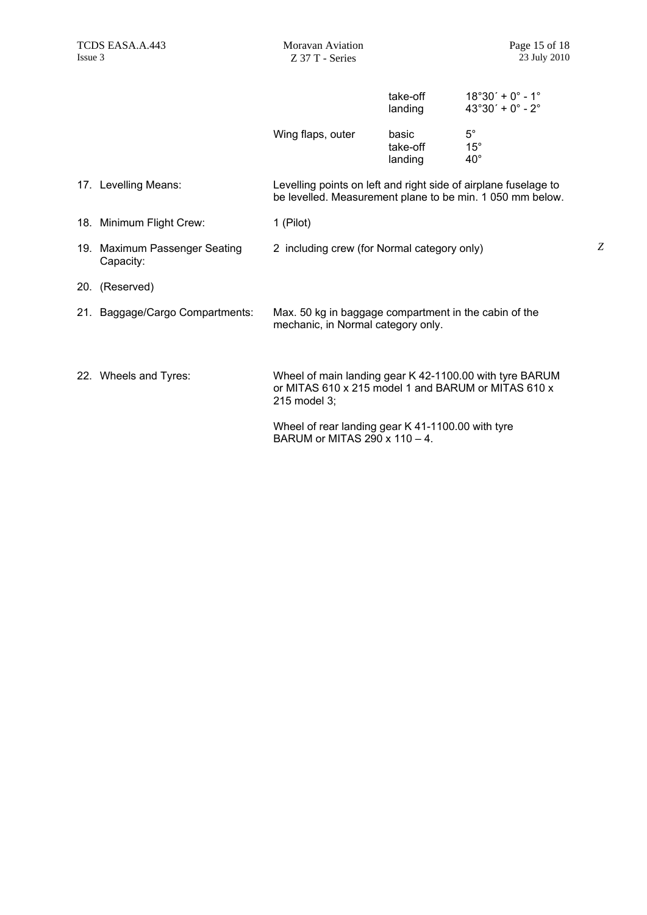*Z*

|                                            |                                                                                                                                | take-off<br>landing          | $18°30' + 0° - 1°$<br>$43^{\circ}30' + 0^{\circ} - 2^{\circ}$ |
|--------------------------------------------|--------------------------------------------------------------------------------------------------------------------------------|------------------------------|---------------------------------------------------------------|
|                                            | Wing flaps, outer                                                                                                              | basic<br>take-off<br>landing | $5^{\circ}$<br>$15^{\circ}$<br>$40^{\circ}$                   |
| 17. Levelling Means:                       | Levelling points on left and right side of airplane fuselage to<br>be levelled. Measurement plane to be min. 1 050 mm below.   |                              |                                                               |
| 18. Minimum Flight Crew:                   | 1 (Pilot)                                                                                                                      |                              |                                                               |
| 19. Maximum Passenger Seating<br>Capacity: | 2 including crew (for Normal category only)                                                                                    |                              |                                                               |
| 20. (Reserved)                             |                                                                                                                                |                              |                                                               |
| 21. Baggage/Cargo Compartments:            | Max. 50 kg in baggage compartment in the cabin of the<br>mechanic, in Normal category only.                                    |                              |                                                               |
| 22. Wheels and Tyres:                      | Wheel of main landing gear K 42-1100.00 with tyre BARUM<br>or MITAS 610 x 215 model 1 and BARUM or MITAS 610 x<br>215 model 3: |                              |                                                               |
|                                            | Wheel of rear landing gear K 41-1100.00 with tyre<br>BARUM or MITAS 290 x 110 - 4.                                             |                              |                                                               |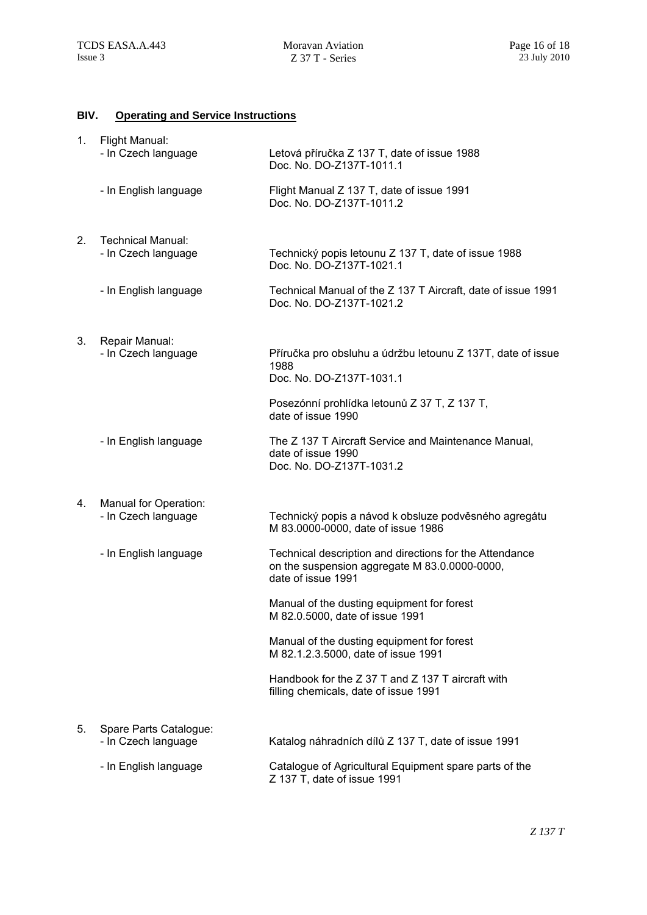## **BIV. Operating and Service Instructions**

| 1. | Flight Manual:<br>- In Czech language           | Letová příručka Z 137 T, date of issue 1988<br>Doc. No. DO-Z137T-1011.1                                                        |
|----|-------------------------------------------------|--------------------------------------------------------------------------------------------------------------------------------|
|    | - In English language                           | Flight Manual Z 137 T, date of issue 1991<br>Doc. No. DO-Z137T-1011.2                                                          |
| 2. | <b>Technical Manual:</b><br>- In Czech language | Technický popis letounu Z 137 T, date of issue 1988<br>Doc. No. DO-Z137T-1021.1                                                |
|    | - In English language                           | Technical Manual of the Z 137 T Aircraft, date of issue 1991<br>Doc. No. DO-Z137T-1021.2                                       |
| 3. | Repair Manual:<br>- In Czech language           | Příručka pro obsluhu a údržbu letounu Z 137T, date of issue<br>1988<br>Doc. No. DO-Z137T-1031.1                                |
|    |                                                 | Posezónní prohlídka letounů Z 37 T, Z 137 T,<br>date of issue 1990                                                             |
|    | - In English language                           | The Z 137 T Aircraft Service and Maintenance Manual,<br>date of issue 1990<br>Doc. No. DO-Z137T-1031.2                         |
| 4. | Manual for Operation:<br>- In Czech language    | Technický popis a návod k obsluze podvěsného agregátu<br>M 83.0000-0000, date of issue 1986                                    |
|    | - In English language                           | Technical description and directions for the Attendance<br>on the suspension aggregate M 83.0.0000-0000,<br>date of issue 1991 |
|    |                                                 | Manual of the dusting equipment for forest<br>M 82.0.5000, date of issue 1991                                                  |
|    |                                                 | Manual of the dusting equipment for forest<br>M 82.1.2.3.5000, date of issue 1991                                              |
|    |                                                 | Handbook for the Z 37 T and Z 137 T aircraft with<br>filling chemicals, date of issue 1991                                     |
| 5. | Spare Parts Catalogue:<br>- In Czech language   | Katalog náhradních dílů Z 137 T, date of issue 1991                                                                            |
|    | - In English language                           | Catalogue of Agricultural Equipment spare parts of the<br>Z 137 T, date of issue 1991                                          |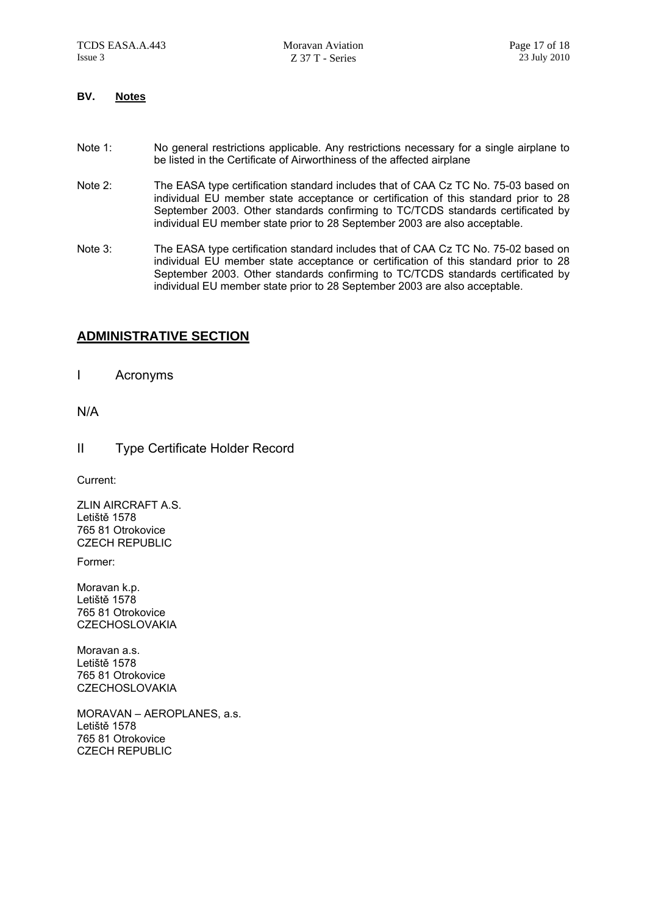#### **BV. Notes**

- Note 1: No general restrictions applicable. Any restrictions necessary for a single airplane to be listed in the Certificate of Airworthiness of the affected airplane
- Note 2: The EASA type certification standard includes that of CAA Cz TC No. 75-03 based on individual EU member state acceptance or certification of this standard prior to 28 September 2003. Other standards confirming to TC/TCDS standards certificated by individual EU member state prior to 28 September 2003 are also acceptable.
- Note 3: The EASA type certification standard includes that of CAA Cz TC No. 75-02 based on individual EU member state acceptance or certification of this standard prior to 28 September 2003. Other standards confirming to TC/TCDS standards certificated by individual EU member state prior to 28 September 2003 are also acceptable.

### **ADMINISTRATIVE SECTION**

I Acronyms

#### N/A

II Type Certificate Holder Record

Current:

ZLIN AIRCRAFT A.S. Letiště 1578 765 81 Otrokovice CZECH REPUBLIC

Former:

Moravan k.p. Letiště 1578 765 81 Otrokovice **CZECHOSLOVAKIA** 

Moravan a s Letiště 1578 765 81 Otrokovice **CZECHOSLOVAKIA** 

MORAVAN – AEROPLANES, a.s. Letiště 1578 765 81 Otrokovice CZECH REPUBLIC